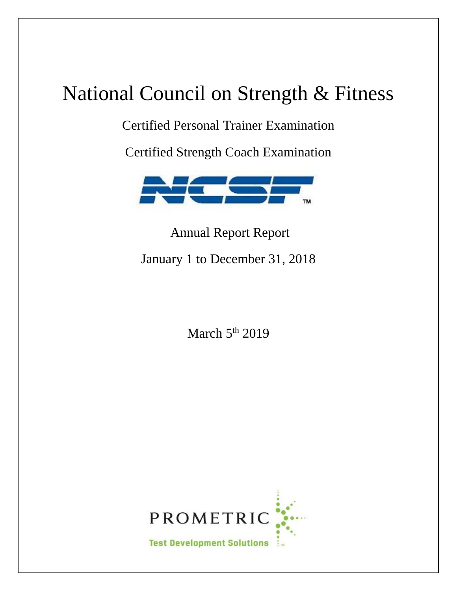# National Council on Strength & Fitness

Certified Personal Trainer Examination

Certified Strength Coach Examination



Annual Report Report January 1 to December 31, 2018

March  $5<sup>th</sup>$  2019

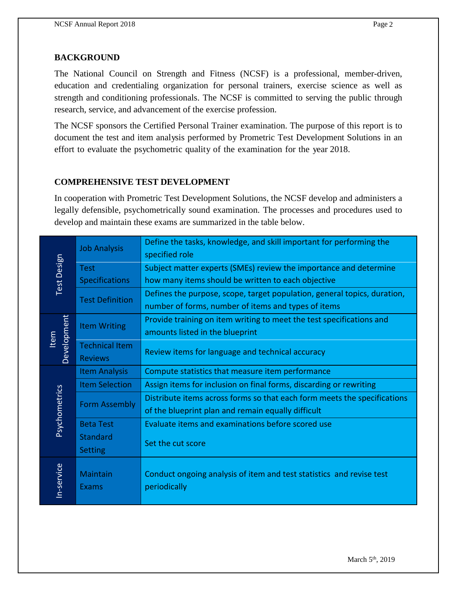### **BACKGROUND**

The National Council on Strength and Fitness (NCSF) is a professional, member-driven, education and credentialing organization for personal trainers, exercise science as well as strength and conditioning professionals. The NCSF is committed to serving the public through research, service, and advancement of the exercise profession.

The NCSF sponsors the Certified Personal Trainer examination. The purpose of this report is to document the test and item analysis performed by Prometric Test Development Solutions in an effort to evaluate the psychometric quality of the examination for the year 2018.

#### **COMPREHENSIVE TEST DEVELOPMENT**

In cooperation with Prometric Test Development Solutions, the NCSF develop and administers a legally defensible, psychometrically sound examination. The processes and procedures used to develop and maintain these exams are summarized in the table below.

| Test Design   | <b>Job Analysis</b>             | Define the tasks, knowledge, and skill important for performing the<br>specified role |
|---------------|---------------------------------|---------------------------------------------------------------------------------------|
|               | <b>Test</b>                     | Subject matter experts (SMEs) review the importance and determine                     |
|               | Specifications                  | how many items should be written to each objective                                    |
|               | <b>Test Definition</b>          | Defines the purpose, scope, target population, general topics, duration,              |
|               |                                 | number of forms, number of items and types of items                                   |
|               | <b>Item Writing</b>             | Provide training on item writing to meet the test specifications and                  |
| Item          |                                 | amounts listed in the blueprint                                                       |
| Development   | <b>Technical Item</b>           | Review items for language and technical accuracy                                      |
|               | <b>Reviews</b>                  |                                                                                       |
|               | <b>Item Analysis</b>            | Compute statistics that measure item performance                                      |
|               | <b>Item Selection</b>           | Assign items for inclusion on final forms, discarding or rewriting                    |
|               | <b>Form Assembly</b>            | Distribute items across forms so that each form meets the specifications              |
|               |                                 | of the blueprint plan and remain equally difficult                                    |
| Psychometrics | <b>Beta Test</b>                | Evaluate items and examinations before scored use                                     |
|               | <b>Standard</b>                 | Set the cut score                                                                     |
|               | <b>Setting</b>                  |                                                                                       |
| In-service    | <b>Maintain</b><br><b>Exams</b> | Conduct ongoing analysis of item and test statistics and revise test<br>periodically  |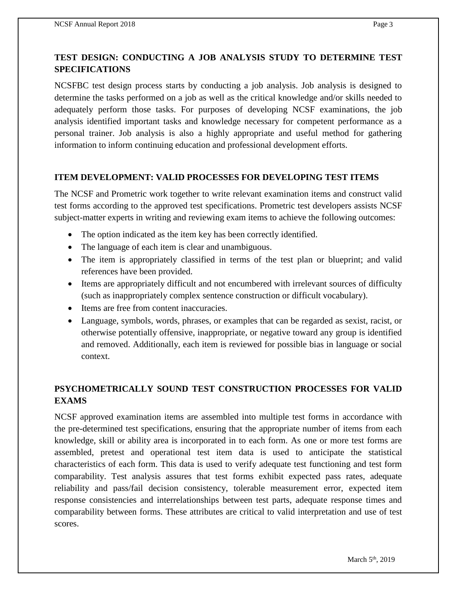# **TEST DESIGN: CONDUCTING A JOB ANALYSIS STUDY TO DETERMINE TEST SPECIFICATIONS**

NCSFBC test design process starts by conducting a job analysis. Job analysis is designed to determine the tasks performed on a job as well as the critical knowledge and/or skills needed to adequately perform those tasks. For purposes of developing NCSF examinations, the job analysis identified important tasks and knowledge necessary for competent performance as a personal trainer. Job analysis is also a highly appropriate and useful method for gathering information to inform continuing education and professional development efforts.

## **ITEM DEVELOPMENT: VALID PROCESSES FOR DEVELOPING TEST ITEMS**

The NCSF and Prometric work together to write relevant examination items and construct valid test forms according to the approved test specifications. Prometric test developers assists NCSF subject-matter experts in writing and reviewing exam items to achieve the following outcomes:

- The option indicated as the item key has been correctly identified.
- The language of each item is clear and unambiguous.
- The item is appropriately classified in terms of the test plan or blueprint; and valid references have been provided.
- Items are appropriately difficult and not encumbered with irrelevant sources of difficulty (such as inappropriately complex sentence construction or difficult vocabulary).
- Items are free from content inaccuracies.
- Language, symbols, words, phrases, or examples that can be regarded as sexist, racist, or otherwise potentially offensive, inappropriate, or negative toward any group is identified and removed. Additionally, each item is reviewed for possible bias in language or social context.

# **PSYCHOMETRICALLY SOUND TEST CONSTRUCTION PROCESSES FOR VALID EXAMS**

NCSF approved examination items are assembled into multiple test forms in accordance with the pre-determined test specifications, ensuring that the appropriate number of items from each knowledge, skill or ability area is incorporated in to each form. As one or more test forms are assembled, pretest and operational test item data is used to anticipate the statistical characteristics of each form. This data is used to verify adequate test functioning and test form comparability. Test analysis assures that test forms exhibit expected pass rates, adequate reliability and pass/fail decision consistency, tolerable measurement error, expected item response consistencies and interrelationships between test parts, adequate response times and comparability between forms. These attributes are critical to valid interpretation and use of test scores.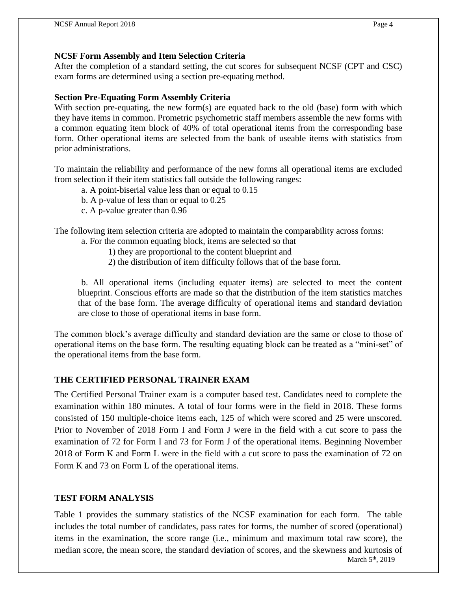### **NCSF Form Assembly and Item Selection Criteria**

After the completion of a standard setting, the cut scores for subsequent NCSF (CPT and CSC) exam forms are determined using a section pre-equating method.

### **Section Pre-Equating Form Assembly Criteria**

With section pre-equating, the new form(s) are equated back to the old (base) form with which they have items in common. Prometric psychometric staff members assemble the new forms with a common equating item block of 40% of total operational items from the corresponding base form. Other operational items are selected from the bank of useable items with statistics from prior administrations.

To maintain the reliability and performance of the new forms all operational items are excluded from selection if their item statistics fall outside the following ranges:

- a. A point-biserial value less than or equal to 0.15
- b. A p-value of less than or equal to 0.25
- c. A p-value greater than 0.96

The following item selection criteria are adopted to maintain the comparability across forms:

- a. For the common equating block, items are selected so that
	- 1) they are proportional to the content blueprint and
	- 2) the distribution of item difficulty follows that of the base form.

b. All operational items (including equater items) are selected to meet the content blueprint. Conscious efforts are made so that the distribution of the item statistics matches that of the base form. The average difficulty of operational items and standard deviation are close to those of operational items in base form.

The common block's average difficulty and standard deviation are the same or close to those of operational items on the base form. The resulting equating block can be treated as a "mini-set" of the operational items from the base form.

### **THE CERTIFIED PERSONAL TRAINER EXAM**

The Certified Personal Trainer exam is a computer based test. Candidates need to complete the examination within 180 minutes. A total of four forms were in the field in 2018. These forms consisted of 150 multiple-choice items each, 125 of which were scored and 25 were unscored. Prior to November of 2018 Form I and Form J were in the field with a cut score to pass the examination of 72 for Form I and 73 for Form J of the operational items. Beginning November 2018 of Form K and Form L were in the field with a cut score to pass the examination of 72 on Form K and 73 on Form L of the operational items.

### **TEST FORM ANALYSIS**

March 5<sup>th</sup>, 2019 Table 1 provides the summary statistics of the NCSF examination for each form. The table includes the total number of candidates, pass rates for forms, the number of scored (operational) items in the examination, the score range (i.e., minimum and maximum total raw score), the median score, the mean score, the standard deviation of scores, and the skewness and kurtosis of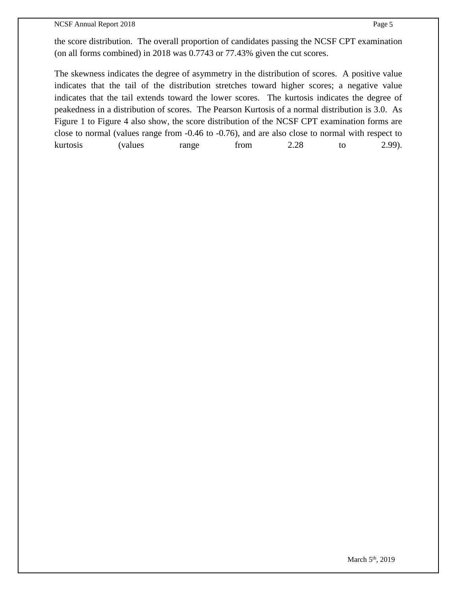#### NCSF Annual Report 2018 Page 5

The skewness indicates the degree of asymmetry in the distribution of scores. A positive value indicates that the tail of the distribution stretches toward higher scores; a negative value indicates that the tail extends toward the lower scores. The kurtosis indicates the degree of peakedness in a distribution of scores. The Pearson Kurtosis of a normal distribution is 3.0. As Figure 1 to Figure 4 also show, the score distribution of the NCSF CPT examination forms are close to normal (values range from -0.46 to -0.76), and are also close to normal with respect to kurtosis (values range from 2.28 to 2.99).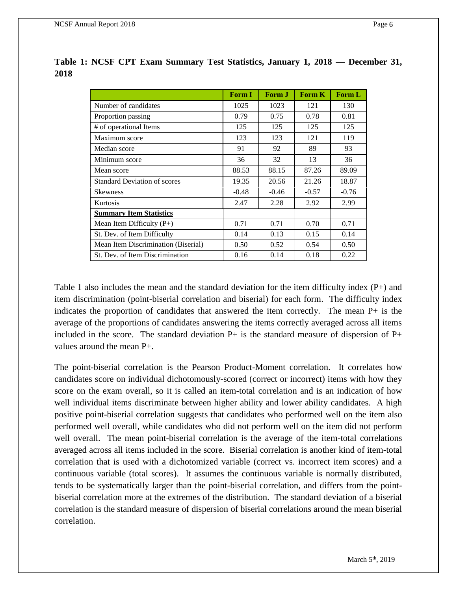|                                     | <b>Form I</b> | Form J  | <b>Form K</b> | Form L  |
|-------------------------------------|---------------|---------|---------------|---------|
| Number of candidates                | 1025          | 1023    | 121           | 130     |
| Proportion passing                  | 0.79          | 0.75    | 0.78          | 0.81    |
| # of operational Items              | 125           | 125     | 125           | 125     |
| Maximum score                       | 123           | 123     | 121           | 119     |
| Median score                        | 91            | 92      | 89            | 93      |
| Minimum score                       | 36            | 32      | 13            | 36      |
| Mean score                          | 88.53         | 88.15   | 87.26         | 89.09   |
| <b>Standard Deviation of scores</b> | 19.35         | 20.56   | 21.26         | 18.87   |
| <b>Skewness</b>                     | $-0.48$       | $-0.46$ | $-0.57$       | $-0.76$ |
| Kurtosis                            | 2.47          | 2.28    | 2.92          | 2.99    |
| <b>Summary Item Statistics</b>      |               |         |               |         |
| Mean Item Difficulty $(P+)$         | 0.71          | 0.71    | 0.70          | 0.71    |
| St. Dev. of Item Difficulty         | 0.14          | 0.13    | 0.15          | 0.14    |
| Mean Item Discrimination (Biserial) | 0.50          | 0.52    | 0.54          | 0.50    |
| St. Dev. of Item Discrimination     | 0.16          | 0.14    | 0.18          | 0.22    |

**Table 1: NCSF CPT Exam Summary Test Statistics, January 1, 2018 — December 31, 2018**

Table 1 also includes the mean and the standard deviation for the item difficulty index (P+) and item discrimination (point-biserial correlation and biserial) for each form. The difficulty index indicates the proportion of candidates that answered the item correctly. The mean P+ is the average of the proportions of candidates answering the items correctly averaged across all items included in the score. The standard deviation  $P+$  is the standard measure of dispersion of  $P+$ values around the mean P+.

The point-biserial correlation is the Pearson Product-Moment correlation. It correlates how candidates score on individual dichotomously-scored (correct or incorrect) items with how they score on the exam overall, so it is called an item-total correlation and is an indication of how well individual items discriminate between higher ability and lower ability candidates. A high positive point-biserial correlation suggests that candidates who performed well on the item also performed well overall, while candidates who did not perform well on the item did not perform well overall. The mean point-biserial correlation is the average of the item-total correlations averaged across all items included in the score. Biserial correlation is another kind of item-total correlation that is used with a dichotomized variable (correct vs. incorrect item scores) and a continuous variable (total scores). It assumes the continuous variable is normally distributed, tends to be systematically larger than the point-biserial correlation, and differs from the pointbiserial correlation more at the extremes of the distribution. The standard deviation of a biserial correlation is the standard measure of dispersion of biserial correlations around the mean biserial correlation.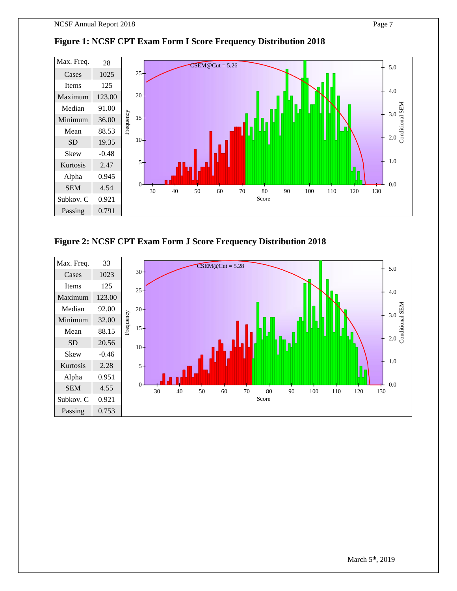

### **Figure 1: NCSF CPT Exam Form I Score Frequency Distribution 2018**

**Figure 2: NCSF CPT Exam Form J Score Frequency Distribution 2018**

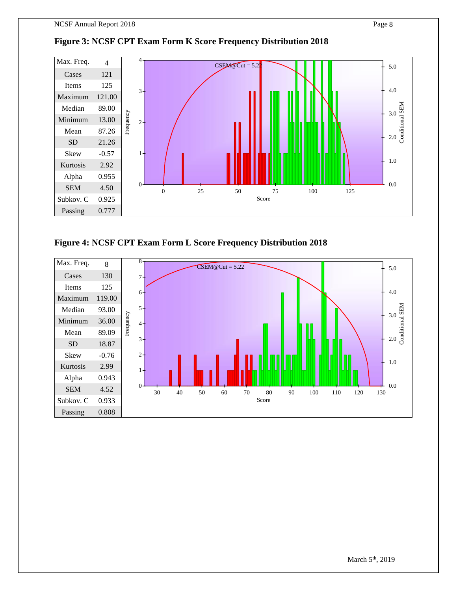



**Figure 4: NCSF CPT Exam Form L Score Frequency Distribution 2018**

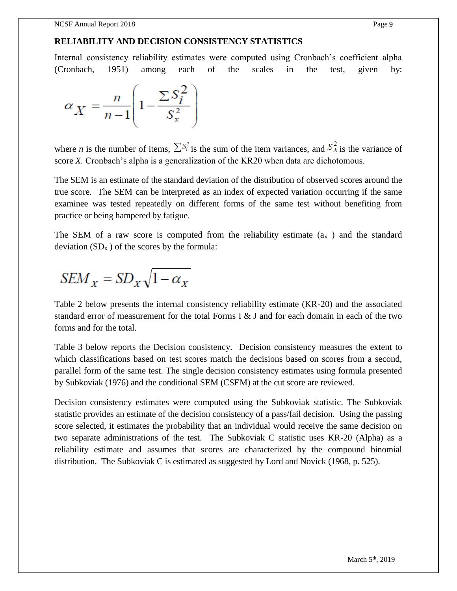### **RELIABILITY AND DECISION CONSISTENCY STATISTICS**

Internal consistency reliability estimates were computed using Cronbach's coefficient alpha (Cronbach, 1951) among each of the scales in the test, given by:

$$
\alpha_X = \frac{n}{n-1} \left( 1 - \frac{\sum S_i^2}{S_x^2} \right)
$$

where *n* is the number of items,  $\sum S_i^2$  is the sum of the item variances, and  $S_X^2$  is the variance of score *X.* Cronbach's alpha is a generalization of the KR20 when data are dichotomous.

The SEM is an estimate of the standard deviation of the distribution of observed scores around the true score. The SEM can be interpreted as an index of expected variation occurring if the same examinee was tested repeatedly on different forms of the same test without benefiting from practice or being hampered by fatigue.

The SEM of a raw score is computed from the reliability estimate  $(a<sub>x</sub>)$  and the standard deviation  $(SD_x)$  of the scores by the formula:

$$
SEM_X = SD_X \sqrt{1 - \alpha_X}
$$

Table 2 below presents the internal consistency reliability estimate (KR-20) and the associated standard error of measurement for the total Forms I  $\&$  J and for each domain in each of the two forms and for the total.

Table 3 below reports the Decision consistency. Decision consistency measures the extent to which classifications based on test scores match the decisions based on scores from a second, parallel form of the same test. The single decision consistency estimates using formula presented by Subkoviak (1976) and the conditional SEM (CSEM) at the cut score are reviewed.

Decision consistency estimates were computed using the Subkoviak statistic. The Subkoviak statistic provides an estimate of the decision consistency of a pass/fail decision. Using the passing score selected, it estimates the probability that an individual would receive the same decision on two separate administrations of the test. The Subkoviak C statistic uses KR-20 (Alpha) as a reliability estimate and assumes that scores are characterized by the compound binomial distribution. The Subkoviak C is estimated as suggested by Lord and Novick (1968, p. 525).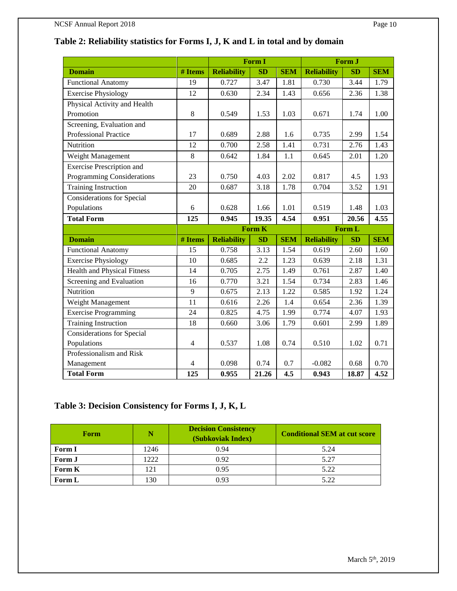# **Table 2: Reliability statistics for Forms I, J, K and L in total and by domain**

|                                    |                | Form I             |               | Form J     |                    |           |            |
|------------------------------------|----------------|--------------------|---------------|------------|--------------------|-----------|------------|
| <b>Domain</b>                      | # Items        | <b>Reliability</b> | SD            | <b>SEM</b> | <b>Reliability</b> | <b>SD</b> | <b>SEM</b> |
| <b>Functional Anatomy</b>          | 19             | 0.727              | 3.47          | 1.81       | 0.730              | 3.44      | 1.79       |
| <b>Exercise Physiology</b>         | 12             | 0.630              | 2.34          | 1.43       | 0.656              | 2.36      | 1.38       |
| Physical Activity and Health       |                |                    |               |            |                    |           |            |
| Promotion                          | 8              | 0.549              | 1.53          | 1.03       | 0.671              | 1.74      | 1.00       |
| Screening, Evaluation and          |                |                    |               |            |                    |           |            |
| Professional Practice              | 17             | 0.689              | 2.88          | 1.6        | 0.735              | 2.99      | 1.54       |
| Nutrition                          | 12             | 0.700              | 2.58          | 1.41       | 0.731              | 2.76      | 1.43       |
| Weight Management                  | $\,8\,$        | 0.642              | 1.84          | 1.1        | 0.645              | 2.01      | 1.20       |
| <b>Exercise Prescription and</b>   |                |                    |               |            |                    |           |            |
| Programming Considerations         | 23             | 0.750              | 4.03          | 2.02       | 0.817              | 4.5       | 1.93       |
| <b>Training Instruction</b>        | 20             | 0.687              | 3.18          | 1.78       | 0.704              | 3.52      | 1.91       |
| <b>Considerations for Special</b>  |                |                    |               |            |                    |           |            |
| Populations                        | 6              | 0.628              | 1.66          | 1.01       | 0.519              | 1.48      | 1.03       |
| <b>Total Form</b>                  | 125            | 0.945              | 19.35         | 4.54       | 0.951              | 20.56     | 4.55       |
|                                    |                |                    | <b>Form K</b> |            |                    | Form L    |            |
| <b>Domain</b>                      | # Items        | <b>Reliability</b> | SD            | <b>SEM</b> | <b>Reliability</b> | SD        | <b>SEM</b> |
| <b>Functional Anatomy</b>          | 15             | 0.758              | 3.13          | 1.54       | 0.619              | 2.60      | 1.60       |
| <b>Exercise Physiology</b>         | 10             | 0.685              | 2.2           | 1.23       | 0.639              | 2.18      | 1.31       |
| <b>Health and Physical Fitness</b> | 14             | 0.705              | 2.75          | 1.49       | 0.761              | 2.87      | 1.40       |
| Screening and Evaluation           | 16             | 0.770              | 3.21          | 1.54       | 0.734              | 2.83      | 1.46       |
| Nutrition                          | 9              | 0.675              | 2.13          | 1.22       | 0.585              | 1.92      | 1.24       |
| Weight Management                  | 11             | 0.616              | 2.26          | 1.4        | 0.654              | 2.36      | 1.39       |
| <b>Exercise Programming</b>        | 24             | 0.825              | 4.75          | 1.99       | 0.774              | 4.07      | 1.93       |
| <b>Training Instruction</b>        | 18             | 0.660              | 3.06          | 1.79       | 0.601              | 2.99      | 1.89       |
| <b>Considerations for Special</b>  |                |                    |               |            |                    |           |            |
| Populations                        | $\overline{4}$ | 0.537              | 1.08          | 0.74       | 0.510              | 1.02      | 0.71       |
| Professionalism and Risk           |                |                    |               |            |                    |           |            |
| Management                         | $\overline{4}$ | 0.098              | 0.74          | 0.7        | $-0.082$           | 0.68      | 0.70       |
| <b>Total Form</b>                  | 125            | 0.955              | 21.26         | 4.5        | 0.943              | 18.87     | 4.52       |

### **Table 3: Decision Consistency for Forms I, J, K, L**

| Form   |      | <b>Decision Consistency</b><br>(Subkoviak Index) | <b>Conditional SEM at cut score</b> |
|--------|------|--------------------------------------------------|-------------------------------------|
| Form I | 1246 | 0.94                                             | 5.24                                |
| Form J | 1222 | 0.92                                             | 5.27                                |
| Form K | 121  | 0.95                                             | 5.22                                |
| Form L | 130  | 0.93                                             | 5.22                                |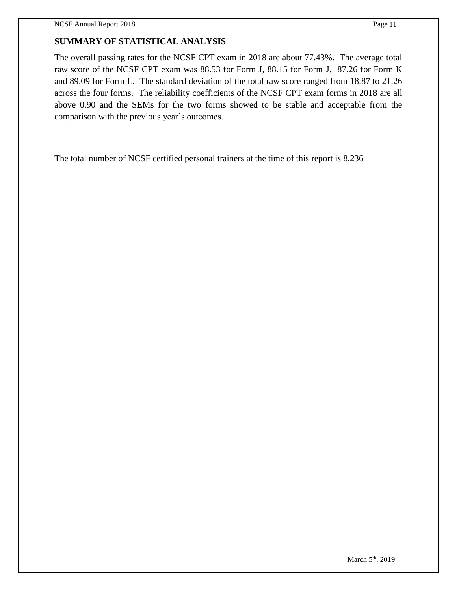### **SUMMARY OF STATISTICAL ANALYSIS**

The overall passing rates for the NCSF CPT exam in 2018 are about 77.43%. The average total raw score of the NCSF CPT exam was 88.53 for Form J, 88.15 for Form J, 87.26 for Form K and 89.09 for Form L. The standard deviation of the total raw score ranged from 18.87 to 21.26 across the four forms. The reliability coefficients of the NCSF CPT exam forms in 2018 are all above 0.90 and the SEMs for the two forms showed to be stable and acceptable from the comparison with the previous year's outcomes.

The total number of NCSF certified personal trainers at the time of this report is 8,236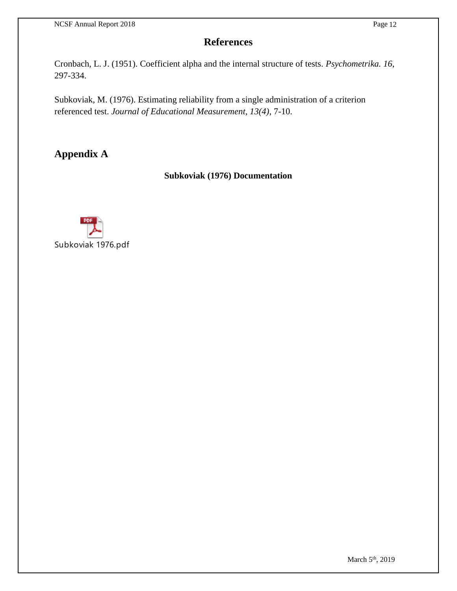# **References**

Cronbach, L. J. (1951). Coefficient alpha and the internal structure of tests. *Psychometrika. 16*, 297-334.

Subkoviak, M. (1976). Estimating reliability from a single administration of a criterion referenced test. *Journal of Educational Measurement, 13(4)*, 7-10.

**Appendix A**

### **Subkoviak (1976) Documentation**

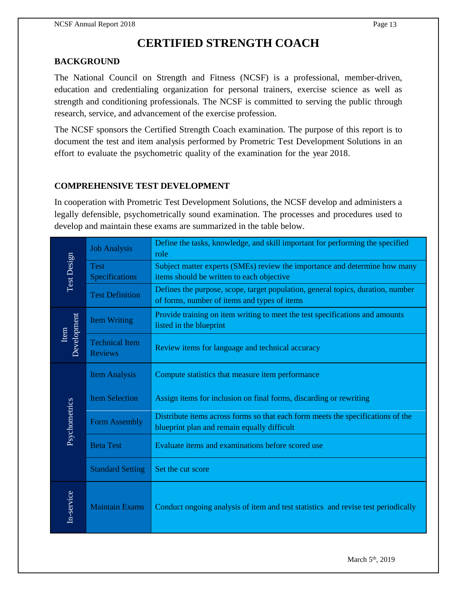# **CERTIFIED STRENGTH COACH**

#### **BACKGROUND**

The National Council on Strength and Fitness (NCSF) is a professional, member-driven, education and credentialing organization for personal trainers, exercise science as well as strength and conditioning professionals. The NCSF is committed to serving the public through research, service, and advancement of the exercise profession.

The NCSF sponsors the Certified Strength Coach examination. The purpose of this report is to document the test and item analysis performed by Prometric Test Development Solutions in an effort to evaluate the psychometric quality of the examination for the year 2018.

#### **COMPREHENSIVE TEST DEVELOPMENT**

In cooperation with Prometric Test Development Solutions, the NCSF develop and administers a legally defensible, psychometrically sound examination. The processes and procedures used to develop and maintain these exams are summarized in the table below.

|                     | <b>Job Analysis</b>                     | Define the tasks, knowledge, and skill important for performing the specified<br>role                                           |
|---------------------|-----------------------------------------|---------------------------------------------------------------------------------------------------------------------------------|
| Test Design         | <b>Test</b><br>Specifications           | Subject matter experts (SMEs) review the importance and determine how many<br>items should be written to each objective         |
|                     | <b>Test Definition</b>                  | Defines the purpose, scope, target population, general topics, duration, number<br>of forms, number of items and types of items |
|                     | <b>Item Writing</b>                     | Provide training on item writing to meet the test specifications and amounts<br>listed in the blueprint                         |
| Development<br>Item | <b>Technical Item</b><br><b>Reviews</b> | Review items for language and technical accuracy                                                                                |
|                     | <b>Item Analysis</b>                    | Compute statistics that measure item performance                                                                                |
|                     | <b>Item Selection</b>                   | Assign items for inclusion on final forms, discarding or rewriting                                                              |
| Psychometrics       | Form Assembly                           | Distribute items across forms so that each form meets the specifications of the<br>blueprint plan and remain equally difficult  |
|                     | <b>Beta Test</b>                        | Evaluate items and examinations before scored use                                                                               |
|                     | <b>Standard Setting</b>                 | Set the cut score                                                                                                               |
| In-service          | <b>Maintain Exams</b>                   | Conduct ongoing analysis of item and test statistics and revise test periodically                                               |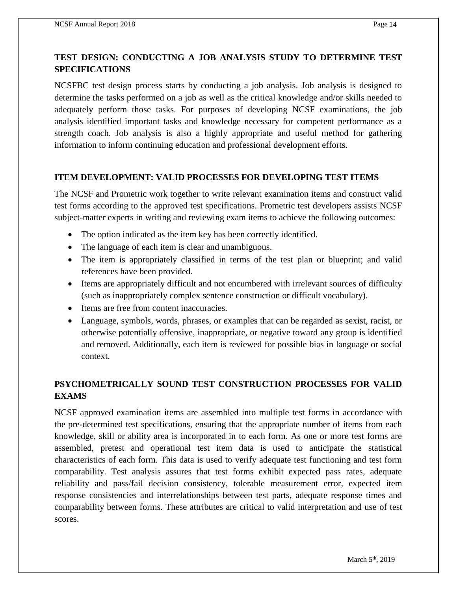NCSFBC test design process starts by conducting a job analysis. Job analysis is designed to determine the tasks performed on a job as well as the critical knowledge and/or skills needed to adequately perform those tasks. For purposes of developing NCSF examinations, the job analysis identified important tasks and knowledge necessary for competent performance as a strength coach. Job analysis is also a highly appropriate and useful method for gathering information to inform continuing education and professional development efforts.

#### **ITEM DEVELOPMENT: VALID PROCESSES FOR DEVELOPING TEST ITEMS**

The NCSF and Prometric work together to write relevant examination items and construct valid test forms according to the approved test specifications. Prometric test developers assists NCSF subject-matter experts in writing and reviewing exam items to achieve the following outcomes:

- The option indicated as the item key has been correctly identified.
- The language of each item is clear and unambiguous.
- The item is appropriately classified in terms of the test plan or blueprint; and valid references have been provided.
- Items are appropriately difficult and not encumbered with irrelevant sources of difficulty (such as inappropriately complex sentence construction or difficult vocabulary).
- Items are free from content inaccuracies.
- Language, symbols, words, phrases, or examples that can be regarded as sexist, racist, or otherwise potentially offensive, inappropriate, or negative toward any group is identified and removed. Additionally, each item is reviewed for possible bias in language or social context.

### **PSYCHOMETRICALLY SOUND TEST CONSTRUCTION PROCESSES FOR VALID EXAMS**

NCSF approved examination items are assembled into multiple test forms in accordance with the pre-determined test specifications, ensuring that the appropriate number of items from each knowledge, skill or ability area is incorporated in to each form. As one or more test forms are assembled, pretest and operational test item data is used to anticipate the statistical characteristics of each form. This data is used to verify adequate test functioning and test form comparability. Test analysis assures that test forms exhibit expected pass rates, adequate reliability and pass/fail decision consistency, tolerable measurement error, expected item response consistencies and interrelationships between test parts, adequate response times and comparability between forms. These attributes are critical to valid interpretation and use of test scores.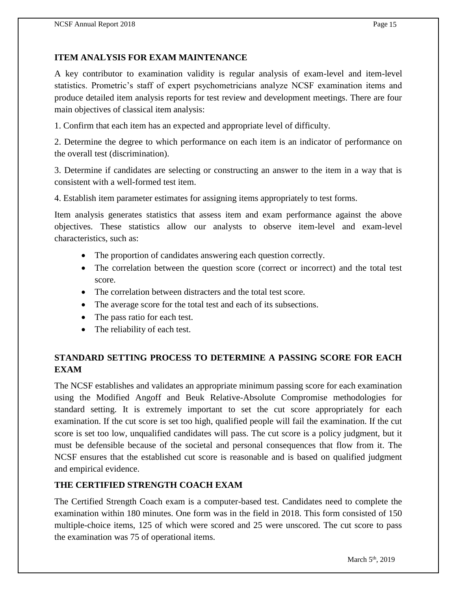### **ITEM ANALYSIS FOR EXAM MAINTENANCE**

A key contributor to examination validity is regular analysis of exam-level and item-level statistics. Prometric's staff of expert psychometricians analyze NCSF examination items and produce detailed item analysis reports for test review and development meetings. There are four main objectives of classical item analysis:

1. Confirm that each item has an expected and appropriate level of difficulty.

2. Determine the degree to which performance on each item is an indicator of performance on the overall test (discrimination).

3. Determine if candidates are selecting or constructing an answer to the item in a way that is consistent with a well-formed test item.

4. Establish item parameter estimates for assigning items appropriately to test forms.

Item analysis generates statistics that assess item and exam performance against the above objectives. These statistics allow our analysts to observe item-level and exam-level characteristics, such as:

- The proportion of candidates answering each question correctly.
- The correlation between the question score (correct or incorrect) and the total test score.
- The correlation between distracters and the total test score.
- The average score for the total test and each of its subsections.
- The pass ratio for each test.
- The reliability of each test.

## **STANDARD SETTING PROCESS TO DETERMINE A PASSING SCORE FOR EACH EXAM**

The NCSF establishes and validates an appropriate minimum passing score for each examination using the Modified Angoff and Beuk Relative-Absolute Compromise methodologies for standard setting. It is extremely important to set the cut score appropriately for each examination. If the cut score is set too high, qualified people will fail the examination. If the cut score is set too low, unqualified candidates will pass. The cut score is a policy judgment, but it must be defensible because of the societal and personal consequences that flow from it. The NCSF ensures that the established cut score is reasonable and is based on qualified judgment and empirical evidence.

### **THE CERTIFIED STRENGTH COACH EXAM**

The Certified Strength Coach exam is a computer-based test. Candidates need to complete the examination within 180 minutes. One form was in the field in 2018. This form consisted of 150 multiple-choice items, 125 of which were scored and 25 were unscored. The cut score to pass the examination was 75 of operational items.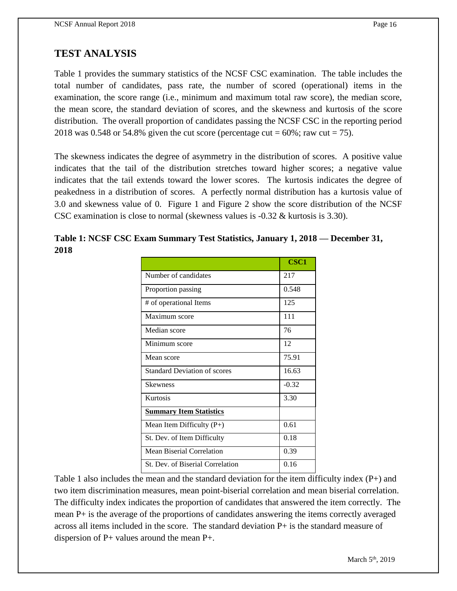# **TEST ANALYSIS**

Table 1 provides the summary statistics of the NCSF CSC examination. The table includes the total number of candidates, pass rate, the number of scored (operational) items in the examination, the score range (i.e., minimum and maximum total raw score), the median score, the mean score, the standard deviation of scores, and the skewness and kurtosis of the score distribution. The overall proportion of candidates passing the NCSF CSC in the reporting period 2018 was 0.548 or 54.8% given the cut score (percentage cut =  $60\%$ ; raw cut = 75).

The skewness indicates the degree of asymmetry in the distribution of scores. A positive value indicates that the tail of the distribution stretches toward higher scores; a negative value indicates that the tail extends toward the lower scores. The kurtosis indicates the degree of peakedness in a distribution of scores. A perfectly normal distribution has a kurtosis value of 3.0 and skewness value of 0. Figure 1 and Figure 2 show the score distribution of the NCSF CSC examination is close to normal (skewness values is -0.32 & kurtosis is 3.30).

|      | Table 1: NCSF CSC Exam Summary Test Statistics, January 1, 2018 – December 31, |  |  |
|------|--------------------------------------------------------------------------------|--|--|
| 2018 |                                                                                |  |  |

|                                     | <b>CSC1</b> |
|-------------------------------------|-------------|
| Number of candidates                | 217         |
| Proportion passing                  | 0.548       |
| # of operational Items              | 125         |
| Maximum score                       | 111         |
| Median score                        | 76          |
| Minimum score                       | 12          |
| Mean score                          | 75.91       |
| <b>Standard Deviation of scores</b> | 16.63       |
| <b>Skewness</b>                     | $-0.32$     |
| Kurtosis                            | 3.30        |
| <b>Summary Item Statistics</b>      |             |
| Mean Item Difficulty $(P+)$         | 0.61        |
| St. Dev. of Item Difficulty         | 0.18        |
| Mean Biserial Correlation           | 0.39        |
| St. Dev. of Biserial Correlation    | 0.16        |

Table 1 also includes the mean and the standard deviation for the item difficulty index (P+) and two item discrimination measures, mean point-biserial correlation and mean biserial correlation. The difficulty index indicates the proportion of candidates that answered the item correctly. The mean P+ is the average of the proportions of candidates answering the items correctly averaged across all items included in the score. The standard deviation P+ is the standard measure of dispersion of P+ values around the mean P+.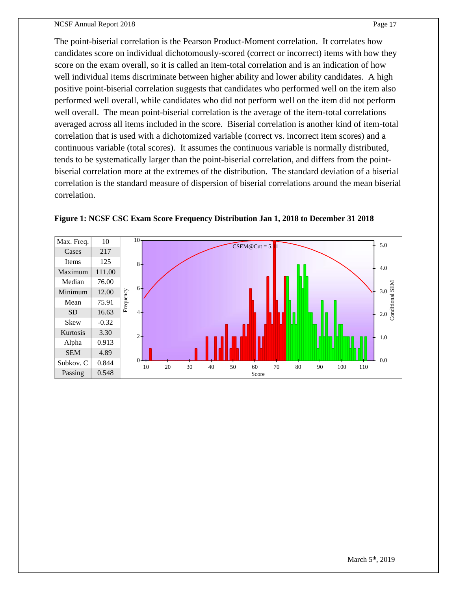#### NCSF Annual Report 2018 Page 17

The point-biserial correlation is the Pearson Product-Moment correlation. It correlates how candidates score on individual dichotomously-scored (correct or incorrect) items with how they score on the exam overall, so it is called an item-total correlation and is an indication of how well individual items discriminate between higher ability and lower ability candidates. A high positive point-biserial correlation suggests that candidates who performed well on the item also performed well overall, while candidates who did not perform well on the item did not perform well overall. The mean point-biserial correlation is the average of the item-total correlations averaged across all items included in the score. Biserial correlation is another kind of item-total correlation that is used with a dichotomized variable (correct vs. incorrect item scores) and a continuous variable (total scores). It assumes the continuous variable is normally distributed, tends to be systematically larger than the point-biserial correlation, and differs from the pointbiserial correlation more at the extremes of the distribution. The standard deviation of a biserial correlation is the standard measure of dispersion of biserial correlations around the mean biserial correlation.



**Figure 1: NCSF CSC Exam Score Frequency Distribution Jan 1, 2018 to December 31 2018**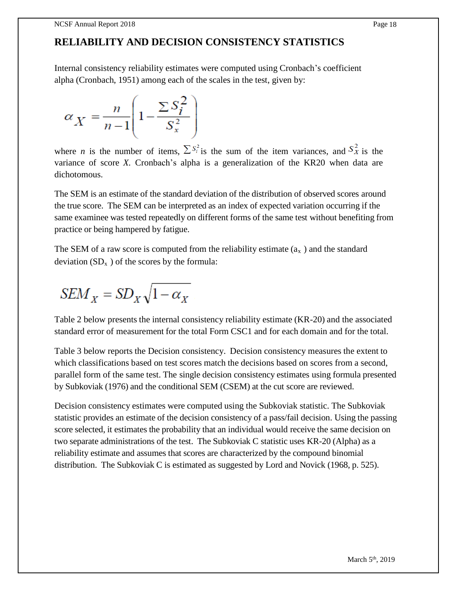# **RELIABILITY AND DECISION CONSISTENCY STATISTICS**

Internal consistency reliability estimates were computed using Cronbach's coefficient alpha (Cronbach, 1951) among each of the scales in the test, given by:

$$
\alpha_X = \frac{n}{n-1} \left( 1 - \frac{\sum S_i^2}{S_x^2} \right)
$$

where *n* is the number of items,  $\sum S_i^2$  is the sum of the item variances, and  $S_X^2$  is the variance of score *X.* Cronbach's alpha is a generalization of the KR20 when data are dichotomous.

The SEM is an estimate of the standard deviation of the distribution of observed scores around the true score. The SEM can be interpreted as an index of expected variation occurring if the same examinee was tested repeatedly on different forms of the same test without benefiting from practice or being hampered by fatigue.

The SEM of a raw score is computed from the reliability estimate  $(a_x)$  and the standard deviation  $(SD_x)$  of the scores by the formula:

$$
SEM_X = SD_X \sqrt{1 - \alpha_X}
$$

Table 2 below presents the internal consistency reliability estimate (KR-20) and the associated standard error of measurement for the total Form CSC1 and for each domain and for the total.

Table 3 below reports the Decision consistency. Decision consistency measures the extent to which classifications based on test scores match the decisions based on scores from a second, parallel form of the same test. The single decision consistency estimates using formula presented by Subkoviak (1976) and the conditional SEM (CSEM) at the cut score are reviewed.

Decision consistency estimates were computed using the Subkoviak statistic. The Subkoviak statistic provides an estimate of the decision consistency of a pass/fail decision. Using the passing score selected, it estimates the probability that an individual would receive the same decision on two separate administrations of the test. The Subkoviak C statistic uses KR-20 (Alpha) as a reliability estimate and assumes that scores are characterized by the compound binomial distribution. The Subkoviak C is estimated as suggested by Lord and Novick (1968, p. 525).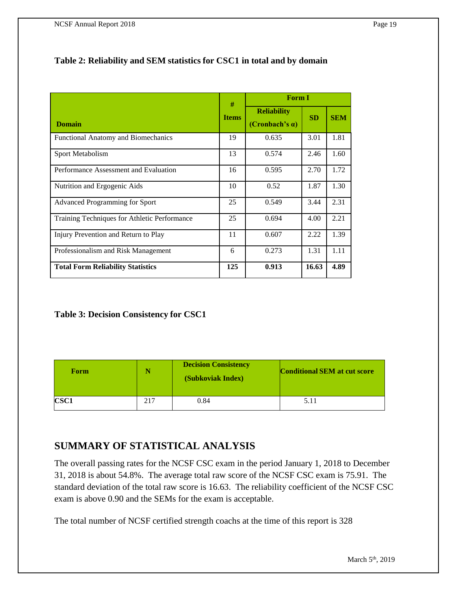### **Table 2: Reliability and SEM statistics for CSC1 in total and by domain**

|                                              | #            | <b>Form I</b>                                |           |            |  |
|----------------------------------------------|--------------|----------------------------------------------|-----------|------------|--|
| <b>Domain</b>                                | <b>Items</b> | <b>Reliability</b><br>(Cronbach's $\alpha$ ) | <b>SD</b> | <b>SEM</b> |  |
| <b>Functional Anatomy and Biomechanics</b>   | 19           | 0.635                                        | 3.01      | 1.81       |  |
| Sport Metabolism                             | 13           | 0.574                                        | 2.46      | 1.60       |  |
| Performance Assessment and Evaluation        | 16           | 0.595                                        | 2.70      | 1.72       |  |
| Nutrition and Ergogenic Aids                 | 10           | 0.52                                         | 1.87      | 1.30       |  |
| Advanced Programming for Sport               | 25           | 0.549                                        | 3.44      | 2.31       |  |
| Training Techniques for Athletic Performance | 25           | 0.694                                        | 4.00      | 2.21       |  |
| Injury Prevention and Return to Play         | 11           | 0.607                                        | 2.22      | 1.39       |  |
| Professionalism and Risk Management          | 6            | 0.273                                        | 1.31      | 1.11       |  |
| <b>Total Form Reliability Statistics</b>     | 125          | 0.913                                        | 16.63     | 4.89       |  |

### **Table 3: Decision Consistency for CSC1**

| Form        |     | <b>Decision Consistency</b><br>(Subkoviak Index) | <b>Conditional SEM at cut score</b> |
|-------------|-----|--------------------------------------------------|-------------------------------------|
| <b>CSC1</b> | 217 | 0.84                                             | 5.11                                |

# **SUMMARY OF STATISTICAL ANALYSIS**

The overall passing rates for the NCSF CSC exam in the period January 1, 2018 to December 31, 2018 is about 54.8%. The average total raw score of the NCSF CSC exam is 75.91. The standard deviation of the total raw score is 16.63. The reliability coefficient of the NCSF CSC exam is above 0.90 and the SEMs for the exam is acceptable.

The total number of NCSF certified strength coachs at the time of this report is 328